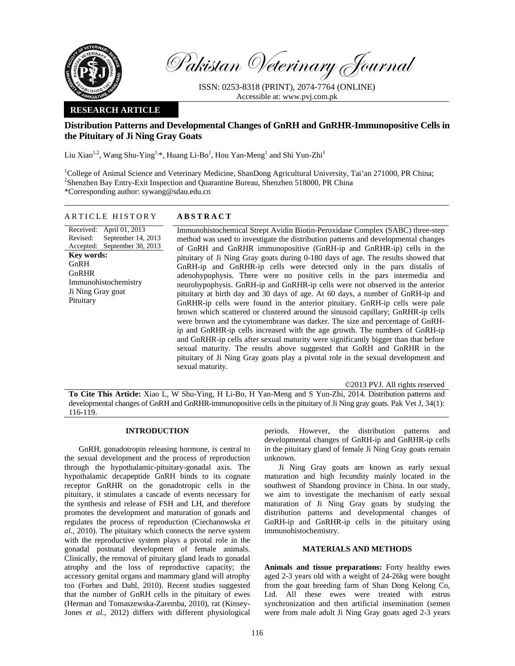

Pakistan Veterinary Journal

ISSN: 0253-8318 (PRINT), 2074-7764 (ONLINE) Accessible at: www.pvj.com.pk

## **RESEARCH ARTICLE**

# **Distribution Patterns and Developmental Changes of GnRH and GnRHR-Immunopositive Cells in the Pituitary of Ji Ning Gray Goats**

Liu Xiao<sup>1,2</sup>, Wang Shu-Ying<sup>1,\*</sup>, Huang Li-Bo<sup>1</sup>, Hou Yan-Meng<sup>1</sup> and Shi Yun-Zhi<sup>1</sup>

<sup>1</sup>College of Animal Science and Veterinary Medicine, ShanDong Agricultural University, Tai'an 271000, PR China; 2 Shenzhen Bay Entry-Exit Inspection and Quarantine Bureau, Shenzhen 518000, PR China \*Corresponding author: sywang@sdau.edu.cn

## ARTICLE HISTORY **ABSTRACT**

Received: April 01, 2013 Revised: Accepted: September 30, 2013 September 14, 2013 **Key words:**  GnRH GnRHR Immunohistochemistry Ji Ning Gray goat Pituitary

 Immunohistochemical Strept Avidin Biotin-Peroxidase Complex (SABC) three-step method was used to investigate the distribution patterns and developmental changes of GnRH and GnRHR immunopositive (GnRH-ip and GnRHR-ip) cells in the pituitary of Ji Ning Gray goats during 0-180 days of age. The results showed that GnRH-ip and GnRHR-ip cells were detected only in the pars distalis of adenohypophysis. There were no positive cells in the pars intermedia and neurohypophysis. GnRH-ip and GnRHR-ip cells were not observed in the anterior pituitary at birth day and 30 days of age. At 60 days, a number of GnRH-ip and GnRHR-ip cells were found in the anterior pituitary. GnRH-ip cells were pale brown which scattered or clustered around the sinusoid capillary; GnRHR-ip cells were brown and the cytomembrane was darker. The size and percentage of GnRHip and GnRHR-ip cells increased with the age growth. The numbers of GnRH-ip and GnRHR-ip cells after sexual maturity were significantly bigger than that before sexual maturity. The results above suggested that GnRH and GnRHR in the pituitary of Ji Ning Gray goats play a pivotal role in the sexual development and sexual maturity.

©2013 PVJ. All rights reserved

**To Cite This Article:** Xiao L, W Shu-Ying, H Li-Bo, H Yan-Meng and S Yun-Zhi, 2014. Distribution patterns and developmental changes of GnRH and GnRHR-immunopositive cells in the pituitary of Ji Ning gray goats. Pak Vet J, 34(1): 116-119.

## **INTRODUCTION**

GnRH, gonadotropin releasing hormone, is central to the sexual development and the process of reproduction through the hypothalamic-pituitary-gonadal axis. The hypothalamic decapeptide GnRH binds to its cognate receptor GnRHR on the gonadotropic cells in the pituitary, it stimulates a cascade of events necessary for the synthesis and release of FSH and LH, and therefore promotes the development and maturation of gonads and regulates the process of reproduction (Ciechanowska *et al.,* 2010). The pituitary which connects the nerve system with the reproductive system plays a pivotal role in the gonadal postnatal development of female animals. Clinically, the removal of pituitary gland leads to gonadal atrophy and the loss of reproductive capacity; the accessory genital organs and mammary gland will atrophy too (Forbes and Dahl*,* 2010). Recent studies suggested that the number of GnRH cells in the pituitary of ewes (Herman and Tomaszewska-Zaremba, 2010), rat (Kinsey-Jones *et al.,* 2012) differs with different physiological

periods. However, the distribution patterns and developmental changes of GnRH-ip and GnRHR-ip cells in the pituitary gland of female Ji Ning Gray goats remain unknown.

Ji Ning Gray goats are known as early sexual maturation and high fecundity mainly located in the southwest of Shandong province in China. In our study, we aim to investigate the mechanism of early sexual maturation of Ji Ning Gray goats by studying the distribution patterns and developmental changes of GnRH-ip and GnRHR-ip cells in the pituitary using immunohistochemistry.

### **MATERIALS AND METHODS**

**Animals and tissue preparations:** Forty healthy ewes aged 2-3 years old with a weight of 24-26kg were bought from the goat breeding farm of Shan Dong Kelong Co, Ltd. All these ewes were treated with estrus synchronization and then artificial insemination (semen were from male adult Ji Ning Gray goats aged 2-3 years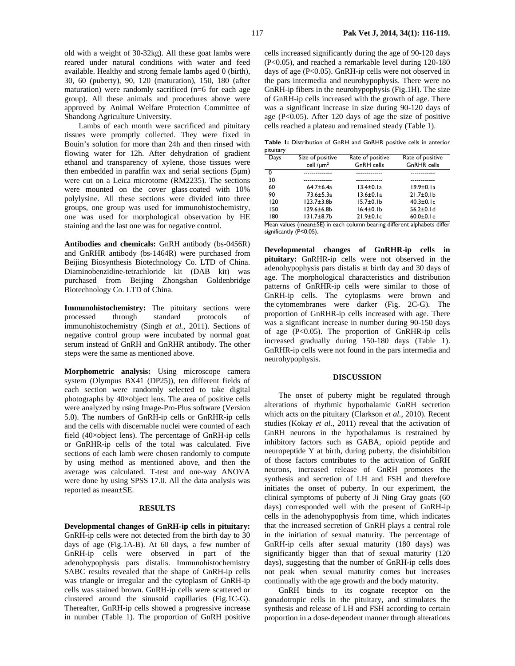old with a weight of 30-32kg). All these goat lambs were reared under natural conditions with water and feed available. Healthy and strong female lambs aged 0 (birth), 30, 60 (puberty), 90, 120 (maturation), 150, 180 (after maturation) were randomly sacrificed (n=6 for each age group). All these animals and procedures above were approved by Animal Welfare Protection Committee of Shandong Agriculture University.

Lambs of each month were sacrificed and pituitary tissues were promptly collected. They were fixed in Bouin's solution for more than 24h and then rinsed with flowing water for 12h. After dehydration of gradient ethanol and transparency of xylene, those tissues were then embedded in paraffin wax and serial sections (5µm) were cut on a Leica microtome (RM2235). The sections were mounted on the cover glass coated with 10% polylysine. All these sections were divided into three groups, one group was used for immunohistochemistry, one was used for morphological observation by HE staining and the last one was for negative control.

**Antibodies and chemicals:** GnRH antibody (bs-0456R) and GnRHR antibody (bs-1464R) were purchased from Beijing Biosynthesis Biotechnology Co. LTD of China. Diaminobenzidine-tetrachloride kit (DAB kit) was purchased from Beijing Zhongshan Goldenbridge Biotechnology Co. LTD of China.

**Immunohistochemistry:** The pituitary sections were processed through standard protocols of immunohistochemistry (Singh *et al.,* 2011). Sections of negative control group were incubated by normal goat serum instead of GnRH and GnRHR antibody. The other steps were the same as mentioned above.

**Morphometric analysis:** Using microscope camera system (Olympus BX41 (DP25)), ten different fields of each section were randomly selected to take digital photographs by 40×object lens. The area of positive cells were analyzed by using Image-Pro-Plus software (Version 5.0). The numbers of GnRH-ip cells or GnRHR-ip cells and the cells with discernable nuclei were counted of each field (40×object lens). The percentage of GnRH-ip cells or GnRHR-ip cells of the total was calculated. Five sections of each lamb were chosen randomly to compute by using method as mentioned above, and then the average was calculated. T-test and one-way ANOVA were done by using SPSS 17.0. All the data analysis was reported as mean±SE.

#### **RESULTS**

**Developmental changes of GnRH-ip cells in pituitary:**  GnRH-ip cells were not detected from the birth day to 30 days of age (Fig.1A-B). At 60 days, a few number of GnRH-ip cells were observed in part of the adenohypophysis pars distalis. Immunohistochemistry SABC results revealed that the shape of GnRH-ip cells was triangle or irregular and the cytoplasm of GnRH-ip cells was stained brown. GnRH-ip cells were scattered or clustered around the sinusoid capillaries (Fig.1C-G). Thereafter, GnRH-ip cells showed a progressive increase in number (Table 1). The proportion of GnRH positive

cells increased significantly during the age of 90-120 days (P<0.05), and reached a remarkable level during 120-180 days of age (P<0.05). GnRH-ip cells were not observed in the pars intermedia and neurohypophysis. There were no GnRH-ip fibers in the neurohypophysis (Fig.1H). The size of GnRH-ip cells increased with the growth of age. There was a significant increase in size during 90-120 days of age ( $P<0.05$ ). After 120 days of age the size of positive cells reached a plateau and remained steady (Table 1).

**Table 1:** Distribution of GnRH and GnRHR positive cells in anterior pituitary

| Days | Size of positive  | Rate of positive | Rate of positive   |
|------|-------------------|------------------|--------------------|
|      | cell $/\mu m^2$   | GnRH cells       | <b>GnRHR</b> cells |
| 0    |                   |                  |                    |
| 30   |                   |                  |                    |
| 60   | $64.7 \pm 6.4a$   | $13.4 \pm 0.1a$  | $19.9 \pm 0.1a$    |
| 90   | $73.6 \pm 5.3a$   | $13.6 \pm 0.1a$  | $21.7 \pm 0.1 b$   |
| 120  | $123.7 + 3.8$     | $15.7 \pm 0.1 b$ | $40.3 \pm 0.1c$    |
| 150  | $129.6 \pm 6.8$ b | $16.4 \pm 0.1 b$ | $56.2 \pm 0.1$ d   |
| 180  | 131.7±8.7b        | $21.9\pm0.1c$    | $60.0 \pm 0.1$ e   |
|      |                   |                  |                    |

Mean values (mean±SE) in each column bearing different alphabets differ significantly (P<0.05).

**Developmental changes of GnRHR-ip cells in pituitary:** GnRHR-ip cells were not observed in the adenohypophysis pars distalis at birth day and 30 days of age. The morphological characteristics and distribution patterns of GnRHR-ip cells were similar to those of GnRH-ip cells. The cytoplasms were brown and the cytomembranes were darker (Fig. 2C-G). The proportion of GnRHR-ip cells increased with age. There was a significant increase in number during 90-150 days of age (P<0.05). The proportion of GnRHR-ip cells increased gradually during 150-180 days (Table 1). GnRHR-ip cells were not found in the pars intermedia and neurohypophysis.

#### **DISCUSSION**

The onset of puberty might be regulated through alterations of rhythmic hypothalamic GnRH secretion which acts on the pituitary (Clarkson *et al.*, 2010). Recent studies (Kokay *et al.*, 2011) reveal that the activation of GnRH neurons in the hypothalamus is restrained by inhibitory factors such as GABA, opioid peptide and neuropeptide Y at birth, during puberty, the disinhibition of those factors contributes to the activation of GnRH neurons, increased release of GnRH promotes the synthesis and secretion of LH and FSH and therefore initiates the onset of puberty. In our experiment, the clinical symptoms of puberty of Ji Ning Gray goats (60 days) corresponded well with the present of GnRH-ip cells in the adenohypophysis from time, which indicates that the increased secretion of GnRH plays a central role in the initiation of sexual maturity. The percentage of GnRH-ip cells after sexual maturity (180 days) was significantly bigger than that of sexual maturity (120 days), suggesting that the number of GnRH-ip cells does not peak when sexual maturity comes but increases continually with the age growth and the body maturity.

GnRH binds to its cognate receptor on the gonadotropic cells in the pituitary, and stimulates the synthesis and release of LH and FSH according to certain proportion in a dose-dependent manner through alterations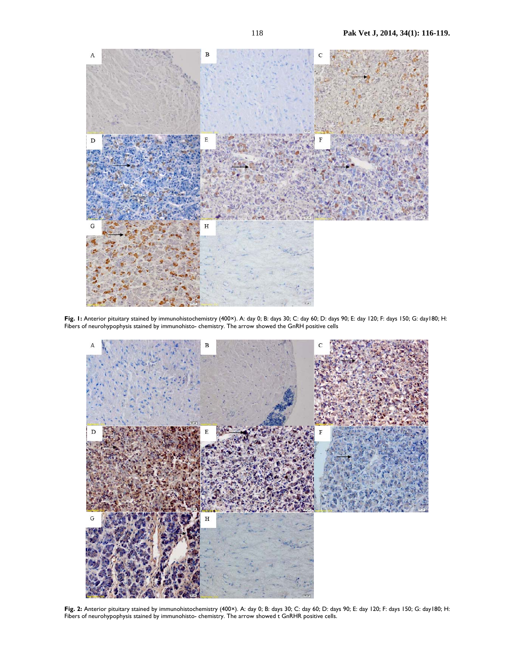

**Fig. 1:** Anterior pituitary stained by immunohistochemistry (400×). A: day 0; B: days 30; C: day 60; D: days 90; E: day 120; F: days 150; G: day180; H: Fibers of neurohypophysis stained by immunohisto- chemistry. The arrow showed the GnRH positive cells



**Fig. 2:** Anterior pituitary stained by immunohistochemistry (400×). A: day 0; B: days 30; C: day 60; D: days 90; E: day 120; F: days 150; G: day180; H: Fibers of neurohypophysis stained by immunohisto- chemistry. The arrow showed t GnRHR positive cells.